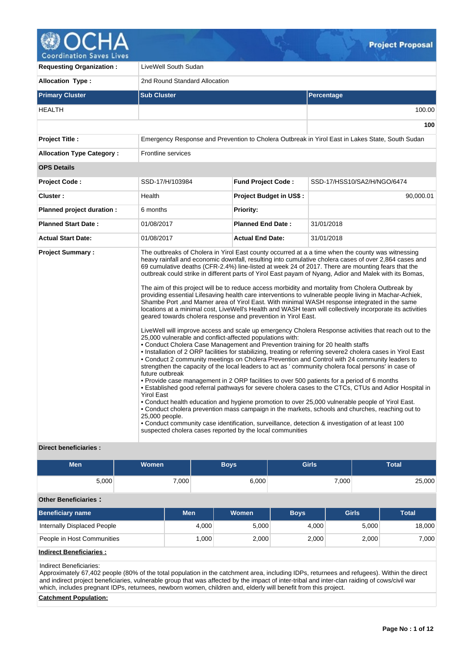

**Coordination Saves Lives** 

| <b>Requesting Organization:</b>  | LiveWell South Sudan                                                                                                                                                                                                                                                                                                                                                                                                               |                                |                                                                                                                                                                                                                                                                                                                                                                                                                                                                                                                                                                                                                                                                                                                                                                                                                                                                                                                                                                                                                                                                                                                                                                                                                                                                                                                                                                                                                                                                                                                                                                                                                                                                                                               |  |  |  |  |  |  |
|----------------------------------|------------------------------------------------------------------------------------------------------------------------------------------------------------------------------------------------------------------------------------------------------------------------------------------------------------------------------------------------------------------------------------------------------------------------------------|--------------------------------|---------------------------------------------------------------------------------------------------------------------------------------------------------------------------------------------------------------------------------------------------------------------------------------------------------------------------------------------------------------------------------------------------------------------------------------------------------------------------------------------------------------------------------------------------------------------------------------------------------------------------------------------------------------------------------------------------------------------------------------------------------------------------------------------------------------------------------------------------------------------------------------------------------------------------------------------------------------------------------------------------------------------------------------------------------------------------------------------------------------------------------------------------------------------------------------------------------------------------------------------------------------------------------------------------------------------------------------------------------------------------------------------------------------------------------------------------------------------------------------------------------------------------------------------------------------------------------------------------------------------------------------------------------------------------------------------------------------|--|--|--|--|--|--|
| <b>Allocation Type:</b>          | 2nd Round Standard Allocation                                                                                                                                                                                                                                                                                                                                                                                                      |                                |                                                                                                                                                                                                                                                                                                                                                                                                                                                                                                                                                                                                                                                                                                                                                                                                                                                                                                                                                                                                                                                                                                                                                                                                                                                                                                                                                                                                                                                                                                                                                                                                                                                                                                               |  |  |  |  |  |  |
| <b>Primary Cluster</b>           | <b>Sub Cluster</b>                                                                                                                                                                                                                                                                                                                                                                                                                 |                                | Percentage                                                                                                                                                                                                                                                                                                                                                                                                                                                                                                                                                                                                                                                                                                                                                                                                                                                                                                                                                                                                                                                                                                                                                                                                                                                                                                                                                                                                                                                                                                                                                                                                                                                                                                    |  |  |  |  |  |  |
| <b>HEALTH</b>                    |                                                                                                                                                                                                                                                                                                                                                                                                                                    | 100.00                         |                                                                                                                                                                                                                                                                                                                                                                                                                                                                                                                                                                                                                                                                                                                                                                                                                                                                                                                                                                                                                                                                                                                                                                                                                                                                                                                                                                                                                                                                                                                                                                                                                                                                                                               |  |  |  |  |  |  |
|                                  |                                                                                                                                                                                                                                                                                                                                                                                                                                    |                                | 100                                                                                                                                                                                                                                                                                                                                                                                                                                                                                                                                                                                                                                                                                                                                                                                                                                                                                                                                                                                                                                                                                                                                                                                                                                                                                                                                                                                                                                                                                                                                                                                                                                                                                                           |  |  |  |  |  |  |
| <b>Project Title:</b>            |                                                                                                                                                                                                                                                                                                                                                                                                                                    |                                | Emergency Response and Prevention to Cholera Outbreak in Yirol East in Lakes State, South Sudan                                                                                                                                                                                                                                                                                                                                                                                                                                                                                                                                                                                                                                                                                                                                                                                                                                                                                                                                                                                                                                                                                                                                                                                                                                                                                                                                                                                                                                                                                                                                                                                                               |  |  |  |  |  |  |
| <b>Allocation Type Category:</b> | <b>Frontline services</b>                                                                                                                                                                                                                                                                                                                                                                                                          |                                |                                                                                                                                                                                                                                                                                                                                                                                                                                                                                                                                                                                                                                                                                                                                                                                                                                                                                                                                                                                                                                                                                                                                                                                                                                                                                                                                                                                                                                                                                                                                                                                                                                                                                                               |  |  |  |  |  |  |
| <b>OPS Details</b>               |                                                                                                                                                                                                                                                                                                                                                                                                                                    |                                |                                                                                                                                                                                                                                                                                                                                                                                                                                                                                                                                                                                                                                                                                                                                                                                                                                                                                                                                                                                                                                                                                                                                                                                                                                                                                                                                                                                                                                                                                                                                                                                                                                                                                                               |  |  |  |  |  |  |
| <b>Project Code:</b>             | SSD-17/H/103984                                                                                                                                                                                                                                                                                                                                                                                                                    | <b>Fund Project Code:</b>      | SSD-17/HSS10/SA2/H/NGO/6474                                                                                                                                                                                                                                                                                                                                                                                                                                                                                                                                                                                                                                                                                                                                                                                                                                                                                                                                                                                                                                                                                                                                                                                                                                                                                                                                                                                                                                                                                                                                                                                                                                                                                   |  |  |  |  |  |  |
| Cluster:                         | Health                                                                                                                                                                                                                                                                                                                                                                                                                             | <b>Project Budget in US\$:</b> | 90,000.01                                                                                                                                                                                                                                                                                                                                                                                                                                                                                                                                                                                                                                                                                                                                                                                                                                                                                                                                                                                                                                                                                                                                                                                                                                                                                                                                                                                                                                                                                                                                                                                                                                                                                                     |  |  |  |  |  |  |
| Planned project duration :       | 6 months                                                                                                                                                                                                                                                                                                                                                                                                                           | <b>Priority:</b>               |                                                                                                                                                                                                                                                                                                                                                                                                                                                                                                                                                                                                                                                                                                                                                                                                                                                                                                                                                                                                                                                                                                                                                                                                                                                                                                                                                                                                                                                                                                                                                                                                                                                                                                               |  |  |  |  |  |  |
| <b>Planned Start Date:</b>       | 01/08/2017                                                                                                                                                                                                                                                                                                                                                                                                                         | <b>Planned End Date:</b>       | 31/01/2018                                                                                                                                                                                                                                                                                                                                                                                                                                                                                                                                                                                                                                                                                                                                                                                                                                                                                                                                                                                                                                                                                                                                                                                                                                                                                                                                                                                                                                                                                                                                                                                                                                                                                                    |  |  |  |  |  |  |
| <b>Actual Start Date:</b>        | 01/08/2017                                                                                                                                                                                                                                                                                                                                                                                                                         | <b>Actual End Date:</b>        | 31/01/2018                                                                                                                                                                                                                                                                                                                                                                                                                                                                                                                                                                                                                                                                                                                                                                                                                                                                                                                                                                                                                                                                                                                                                                                                                                                                                                                                                                                                                                                                                                                                                                                                                                                                                                    |  |  |  |  |  |  |
| <b>Project Summary:</b>          | geared towards cholera response and prevention in Yirol East.<br>25,000 vulnerable and conflict-affected populations with:<br>• Conduct Cholera Case Management and Prevention training for 20 health staffs<br>future outbreak<br>. Provide case management in 2 ORP facilities to over 500 patients for a period of 6 months<br><b>Yirol East</b><br>25,000 people.<br>suspected cholera cases reported by the local communities |                                | The outbreaks of Cholera in Yirol East county occurred at a a time when the county was witnessing<br>heavy rainfall and economic downfall, resulting into cumulative cholera cases of over 2,864 cases and<br>69 cumulative deaths (CFR-2.4%) line-listed at week 24 of 2017. There are mounting fears that the<br>outbreak could strike in different parts of Yirol East payam of Nyang, Adior and Malek with its Bomas,<br>The aim of this project will be to reduce access morbidity and mortality from Cholera Outbreak by<br>providing essential Lifesaving health care interventions to vulnerable people living in Machar-Achiek,<br>Shambe Port, and Mamer area of Yirol East. With minimal WASH response integrated in the same<br>locations at a minimal cost, LiveWell's Health and WASH team will collectively incorporate its activities<br>LiveWell will improve access and scale up emergency Cholera Response activities that reach out to the<br>. Installation of 2 ORP facilities for stabilizing, treating or referring severe2 cholera cases in Yirol East<br>. Conduct 2 community meetings on Cholera Prevention and Control with 24 community leaders to<br>strengthen the capacity of the local leaders to act as ' community cholera focal persons' in case of<br>• Established good referral pathways for severe cholera cases to the CTCs, CTUs and Adior Hospital in<br>• Conduct health education and hygiene promotion to over 25,000 vulnerable people of Yirol East.<br>. Conduct cholera prevention mass campaign in the markets, schools and churches, reaching out to<br>• Conduct community case identification, surveillance, detection & investigation of at least 100 |  |  |  |  |  |  |

## **Direct beneficiaries :**

| <b>Men</b>                  | <b>Women</b> |            |       | <b>Boys</b>  | <b>Girls</b> |              |       | <b>Total</b> |
|-----------------------------|--------------|------------|-------|--------------|--------------|--------------|-------|--------------|
| 5,000                       |              | 7,000      |       | 6,000        |              | 7,000        |       | 25,000       |
| <b>Other Beneficiaries:</b> |              |            |       |              |              |              |       |              |
| <b>Beneficiary name</b>     |              | <b>Men</b> |       | <b>Women</b> | <b>Boys</b>  | <b>Girls</b> |       | <b>Total</b> |
| Internally Displaced People |              |            | 4,000 | 5,000        | 4,000        |              | 5,000 | 18,000       |
| People in Host Communities  |              |            | 1,000 | 2,000        | 2,000        |              | 2,000 | 7,000        |
| .                           |              |            |       |              |              |              |       |              |

# **Indirect Beneficiaries :**

#### Indirect Beneficiaries:

Approximately 67,402 people (80% of the total population in the catchment area, including IDPs, returnees and refugees). Within the direct and indirect project beneficiaries, vulnerable group that was affected by the impact of inter-tribal and inter-clan raiding of cows/civil war which, includes pregnant IDPs, returnees, newborn women, children and, elderly will benefit from this project.

## **Catchment Population:**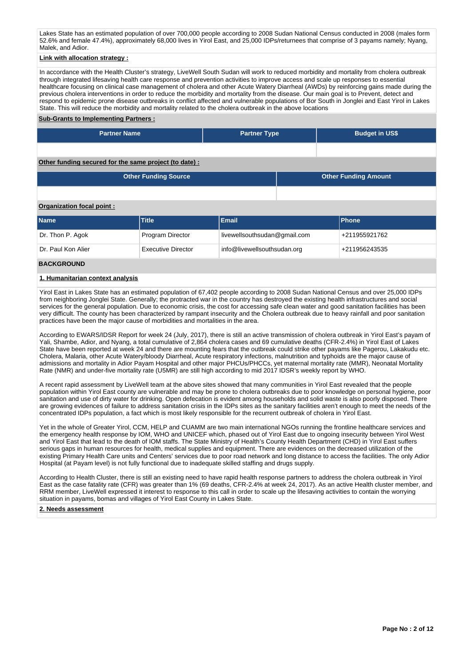Lakes State has an estimated population of over 700,000 people according to 2008 Sudan National Census conducted in 2008 (males form 52.6% and female 47.4%), approximately 68,000 lives in Yirol East, and 25,000 IDPs/returnees that comprise of 3 payams namely; Nyang, Malek, and Adior.

## **Link with allocation strategy :**

In accordance with the Health Cluster's strategy, LiveWell South Sudan will work to reduced morbidity and mortality from cholera outbreak through integrated lifesaving health care response and prevention activities to improve access and scale up responses to essential healthcare focusing on clinical case management of cholera and other Acute Watery Diarrheal (AWDs) by reinforcing gains made during the previous cholera interventions in order to reduce the morbidity and mortality from the disease. Our main goal is to Prevent, detect and respond to epidemic prone disease outbreaks in conflict affected and vulnerable populations of Bor South in Jonglei and East Yirol in Lakes State. This will reduce the morbidity and mortality related to the cholera outbreak in the above locations

#### **Sub-Grants to Implementing Partners :**

| <b>Partner Name</b>                                   | <b>Partner Type</b> | <b>Budget in US\$</b> |
|-------------------------------------------------------|---------------------|-----------------------|
|                                                       |                     |                       |
| Other funding secured for the same project (to date): |                     |                       |

| Other Funding Source | Other Funding Amount |
|----------------------|----------------------|
|                      |                      |

## **Organization focal point :**

| <b>Name</b>        | Title                     | Email                        | <b>Phone</b>  |
|--------------------|---------------------------|------------------------------|---------------|
| Dr. Thon P. Agok   | Program Director          | livewellsouthsudan@gmail.com | +211955921762 |
| Dr. Paul Kon Alier | <b>Executive Director</b> | info@livewellsouthsudan.org  | +211956243535 |

#### **BACKGROUND**

## **1. Humanitarian context analysis**

Yirol East in Lakes State has an estimated population of 67,402 people according to 2008 Sudan National Census and over 25,000 IDPs from neighboring Jonglei State. Generally; the protracted war in the country has destroyed the existing health infrastructures and social services for the general population. Due to economic crisis, the cost for accessing safe clean water and good sanitation facilities has been very difficult. The county has been characterized by rampant insecurity and the Cholera outbreak due to heavy rainfall and poor sanitation practices have been the major cause of morbidities and mortalities in the area.

According to EWARS/IDSR Report for week 24 (July, 2017), there is still an active transmission of cholera outbreak in Yirol East's payam of Yali, Shambe, Adior, and Nyang, a total cumulative of 2,864 cholera cases and 69 cumulative deaths (CFR-2.4%) in Yirol East of Lakes State have been reported at week 24 and there are mounting fears that the outbreak could strike other payams like Pagerou, Lakakudu etc. Cholera, Malaria, other Acute Watery/bloody Diarrheal, Acute respiratory infections, malnutrition and typhoids are the major cause of admissions and mortality in Adior Payam Hospital and other major PHCUs/PHCCs, yet maternal mortality rate (MMR), Neonatal Mortality Rate (NMR) and under-five mortality rate (U5MR) are still high according to mid 2017 IDSR's weekly report by WHO.

A recent rapid assessment by LiveWell team at the above sites showed that many communities in Yirol East revealed that the people population within Yirol East county are vulnerable and may be prone to cholera outbreaks due to poor knowledge on personal hygiene, poor sanitation and use of dirty water for drinking. Open defecation is evident among households and solid waste is also poorly disposed. There are growing evidences of failure to address sanitation crisis in the IDPs sites as the sanitary facilities aren't enough to meet the needs of the concentrated IDPs population, a fact which is most likely responsible for the recurrent outbreak of cholera in Yirol East.

Yet in the whole of Greater Yirol, CCM, HELP and CUAMM are two main international NGOs running the frontline healthcare services and the emergency health response by IOM, WHO and UNICEF which, phased out of Yirol East due to ongoing insecurity between Yirol West and Yirol East that lead to the death of IOM staffs. The State Ministry of Health's County Health Department (CHD) in Yirol East suffers serious gaps in human resources for health, medical supplies and equipment. There are evidences on the decreased utilization of the existing Primary Health Care units and Centers' services due to poor road network and long distance to access the facilities. The only Adior Hospital (at Payam level) is not fully functional due to inadequate skilled staffing and drugs supply.

According to Health Cluster, there is still an existing need to have rapid health response partners to address the cholera outbreak in Yirol East as the case fatality rate (CFR) was greater than 1% (69 deaths, CFR-2.4% at week 24, 2017). As an active Health cluster member, and RRM member, LiveWell expressed it interest to response to this call in order to scale up the lifesaving activities to contain the worrying situation in payams, bomas and villages of Yirol East County in Lakes State.

#### **2. Needs assessment**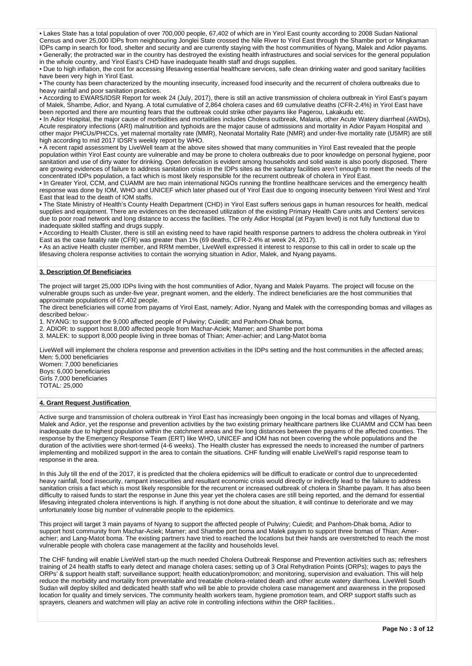• Lakes State has a total population of over 700,000 people, 67,402 of which are in Yirol East county according to 2008 Sudan National Census and over 25,000 IDPs from neighbouring Jonglei State crossed the Nile River to Yirol East through the Shambe port or Mingkaman IDPs camp in search for food, shelter and security and are currently staying with the host communities of Nyang, Malek and Adior payams. • Generally; the protracted war in the country has destroyed the existing health infrastructures and social services for the general population in the whole country, and Yirol East's CHD have inadequate health staff and drugs supplies.

• Due to high inflation, the cost for accessing lifesaving essential healthcare services, safe clean drinking water and good sanitary facilities have been very high in Yirol Fast.

• The county has been characterized by the mounting insecurity, increased food insecurity and the recurrent of cholera outbreaks due to heavy rainfall and poor sanitation practices.

• According to EWARS/IDSR Report for week 24 (July, 2017), there is still an active transmission of cholera outbreak in Yirol East's payam of Malek, Shambe, Adior, and Nyang. A total cumulative of 2,864 cholera cases and 69 cumulative deaths (CFR-2.4%) in Yirol East have been reported and there are mounting fears that the outbreak could strike other payams like Pagerou, Lakakudu etc.

• In Adior Hospital, the major cause of morbidities and mortalities includes Cholera outbreak, Malaria, other Acute Watery diarrheal (AWDs), Acute respiratory infections (ARI) malnutrition and typhoids are the major cause of admissions and mortality in Adior Payam Hospital and other major PHCUs/PHCCs, yet maternal mortality rate (MMR), Neonatal Mortality Rate (NMR) and under-five mortality rate (U5MR) are still high according to mid 2017 IDSR's weekly report by WHO.

• A recent rapid assessment by LiveWell team at the above sites showed that many communities in Yirol East revealed that the people population within Yirol East county are vulnerable and may be prone to cholera outbreaks due to poor knowledge on personal hygiene, poor sanitation and use of dirty water for drinking. Open defecation is evident among households and solid waste is also poorly disposed. There are growing evidences of failure to address sanitation crisis in the IDPs sites as the sanitary facilities aren't enough to meet the needs of the concentrated IDPs population, a fact which is most likely responsible for the recurrent outbreak of cholera in Yirol East.

• In Greater Yirol, CCM, and CUAMM are two main international NGOs running the frontline healthcare services and the emergency health response was done by IOM, WHO and UNICEF which later phased out of Yirol East due to ongoing insecurity between Yirol West and Yirol East that lead to the death of IOM staffs.

• The State Ministry of Health's County Health Department (CHD) in Yirol East suffers serious gaps in human resources for health, medical supplies and equipment. There are evidences on the decreased utilization of the existing Primary Health Care units and Centers' services due to poor road network and long distance to access the facilities. The only Adior Hospital (at Payam level) is not fully functional due to inadequate skilled staffing and drugs supply.

• According to Health Cluster, there is still an existing need to have rapid health response partners to address the cholera outbreak in Yirol East as the case fatality rate (CFR) was greater than 1% (69 deaths, CFR-2.4% at week 24, 2017).

• As an active Health cluster member, and RRM member, LiveWell expressed it interest to response to this call in order to scale up the lifesaving cholera response activities to contain the worrying situation in Adior, Malek, and Nyang payams.

## **3. Description Of Beneficiaries**

The project will target 25,000 IDPs living with the host communities of Adior, Nyang and Malek Payams. The project will focuse on the vulnerable groups such as under-five year, pregnant women, and the elderly. The indirect beneficiaries are the host communities that approximate populations of 67,402 people.

The direct beneficiaries will come from payams of Yirol East, namely; Adior, Nyang and Malek with the corresponding bomas and villages as described below:-

1. NYANG: to support the 9,000 affected people of Pulwiny; Cuiedit; and Panhom-Dhak boma,

2. ADIOR: to support host 8,000 affected people from Machar-Aciek; Mamer; and Shambe port boma

3. MALEK: to support 8,000 people living in three bomas of Thian; Amer-achier; and Lang-Matot boma

LiveWell will implement the cholera response and prevention activities in the IDPs setting and the host communities in the affected areas; Men: 5,000 beneficiaries

Women: 7,000 beneficiaries Boys: 6,000 beneficiaries Girls 7,000 beneficiaries TOTAL: 25,000

#### **4. Grant Request Justification**

Active surge and transmission of cholera outbreak in Yirol East has increasingly been ongoing in the local bomas and villages of Nyang, Malek and Adior, yet the response and prevention activities by the two existing primary healthcare partners like CUAMM and CCM has been inadequate due to highest population within the catchment areas and the long distances between the payams of the affected counties. The response by the Emergency Response Team (ERT) like WHO, UNICEF and IOM has not been covering the whole populations and the duration of the activities were short-termed (4-6 weeks). The Health cluster has expressed the needs to increased the number of partners implementing and mobilized support in the area to contain the situations. CHF funding will enable LiveWell's rapid response team to response in the area.

In this July till the end of the 2017, it is predicted that the cholera epidemics will be difficult to eradicate or control due to unprecedented heavy rainfall, food insecurity, rampant insecurities and resultant economic crisis would directly or indirectly lead to the failure to address sanitation crisis a fact which is most likely responsible for the recurrent or increased outbreak of cholera in Shambe payam. It has also been difficulty to raised funds to start the response in June this year yet the cholera cases are still being reported, and the demand for essential lifesaving integrated cholera interventions is high. If anything is not done about the situation, it will continue to deteriorate and we may unfortunately loose big number of vulnerable people to the epidemics.

This project will target 3 main payams of Nyang to support the affected people of Pulwiny; Cuiedit; and Panhom-Dhak boma, Adior to support host community from Machar-Aciek; Mamer; and Shambe port boma and Malek payam to support three bomas of Thian; Amerachier; and Lang-Matot boma. The existing partners have tried to reached the locations but their hands are overstretched to reach the most vulnerable people with cholera case management at the facility and households level.

The CHF funding will enable LiveWell start-up the much needed Cholera Outbreak Response and Prevention activities such as; refreshers training of 24 health staffs to early detect and manage cholera cases; setting up of 3 Oral Rehydration Points (ORPs); wages to pays the ORPs' & support health staff; surveillance support; health education/promotion; and monitoring, supervision and evaluation. This will help reduce the morbidity and mortality from preventable and treatable cholera-related death and other acute watery diarrhoea. LiveWell South Sudan will deploy skilled and dedicated health staff who will be able to provide cholera case management and awareness in the proposed location for quality and timely services. The community health workers team, hygiene promotion team, and ORP support staffs such as sprayers, cleaners and watchmen will play an active role in controlling infections within the ORP facilities..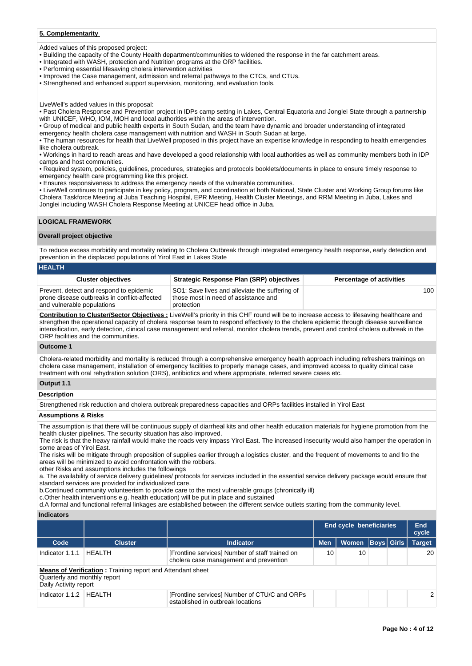## **5. Complementarity**

Added values of this proposed project:

- Building the capacity of the County Health department/communities to widened the response in the far catchment areas.
- Integrated with WASH, protection and Nutrition programs at the ORP facilities.
- Performing essential lifesaving cholera intervention activities
- Improved the Case management, admission and referral pathways to the CTCs, and CTUs.
- Strengthened and enhanced support supervision, monitoring, and evaluation tools.

LiveWell's added values in this proposal:

• Past Cholera Response and Prevention project in IDPs camp setting in Lakes, Central Equatoria and Jonglei State through a partnership with UNICEF, WHO, IOM, MOH and local authorities within the areas of intervention.

• Group of medical and public health experts in South Sudan, and the team have dynamic and broader understanding of integrated emergency health cholera case management with nutrition and WASH in South Sudan at large.

• The human resources for health that LiveWell proposed in this project have an expertise knowledge in responding to health emergencies like cholera outbreak.

• Workings in hard to reach areas and have developed a good relationship with local authorities as well as community members both in IDP camps and host communities.

• Required system, policies, guidelines, procedures, strategies and protocols booklets/documents in place to ensure timely response to emergency health care programming like this project.

• Ensures responsiveness to address the emergency needs of the vulnerable communities.

• LiveWell continues to participate in key policy, program, and coordination at both National, State Cluster and Working Group forums like Cholera Taskforce Meeting at Juba Teaching Hospital, EPR Meeting, Health Cluster Meetings, and RRM Meeting in Juba, Lakes and Jonglei including WASH Cholera Response Meeting at UNICEF head office in Juba.

## **LOGICAL FRAMEWORK**

#### **Overall project objective**

To reduce excess morbidity and mortality relating to Cholera Outbreak through integrated emergency health response, early detection and prevention in the displaced populations of Yirol East in Lakes State

## **HEALTH**

| <b>Cluster objectives</b>                                                                                             | <b>Strategic Response Plan (SRP) objectives</b>                                                      | <b>Percentage of activities</b> |
|-----------------------------------------------------------------------------------------------------------------------|------------------------------------------------------------------------------------------------------|---------------------------------|
| Prevent, detect and respond to epidemic<br>prone disease outbreaks in conflict-affected<br>and vulnerable populations | SO1: Save lives and alleviate the suffering of<br>those most in need of assistance and<br>protection | 100                             |

**Contribution to Cluster/Sector Objectives :** LiveWell's priority in this CHF round will be to increase access to lifesaving healthcare and strengthen the operational capacity of cholera response team to respond effectively to the cholera epidemic through disease surveillance intensification, early detection, clinical case management and referral, monitor cholera trends, prevent and control cholera outbreak in the ORP facilities and the communities.

#### **Outcome 1**

Cholera-related morbidity and mortality is reduced through a comprehensive emergency health approach including refreshers trainings on cholera case management, installation of emergency facilities to properly manage cases, and improved access to quality clinical case treatment with oral rehydration solution (ORS), antibiotics and where appropriate, referred severe cases etc.

## **Output 1.1**

**Description**

Strengthened risk reduction and cholera outbreak preparedness capacities and ORPs facilities installed in Yirol East

## **Assumptions & Risks**

The assumption is that there will be continuous supply of diarrheal kits and other health education materials for hygiene promotion from the health cluster pipelines. The security situation has also improved.

The risk is that the heavy rainfall would make the roads very impass Yirol East. The increased insecurity would also hamper the operation in some areas of Yirol East.

The risks will be mitigate through preposition of supplies earlier through a logistics cluster, and the frequent of movements to and fro the areas will be minimized to avoid confrontation with the robbers.

other Risks and assumptions includes the followings

a. The availability of service delivery guidelines/ protocols for services included in the essential service delivery package would ensure that standard services are provided for individualized care.

b.Continued community volunteerism to provide care to the most vulnerable groups (chronically ill)

c.Other health interventions e.g. health education) will be put in place and sustained

d.A formal and functional referral linkages are established between the different service outlets starting from the community level.

## **Indicators**

|                                                       |                                                                   |                                                                                           | <b>End cycle beneficiaries</b> |              |  |                   |               |
|-------------------------------------------------------|-------------------------------------------------------------------|-------------------------------------------------------------------------------------------|--------------------------------|--------------|--|-------------------|---------------|
| Code                                                  | <b>Cluster</b>                                                    | <b>Indicator</b>                                                                          | <b>Men</b>                     | <b>Women</b> |  | <b>Boys Girls</b> | <b>Target</b> |
| Indicator 1.1.1                                       | <b>HEALTH</b>                                                     | [Frontline services] Number of staff trained on<br>cholera case management and prevention | 10                             | 10           |  |                   | 20            |
| Quarterly and monthly report<br>Daily Activity report | <b>Means of Verification:</b> Training report and Attendant sheet |                                                                                           |                                |              |  |                   |               |
| Indicator $1.1.2$                                     | I HFAI TH                                                         | [Frontline services] Number of CTU/C and ORPs<br>established in outbreak locations        |                                |              |  |                   | $\mathcal{P}$ |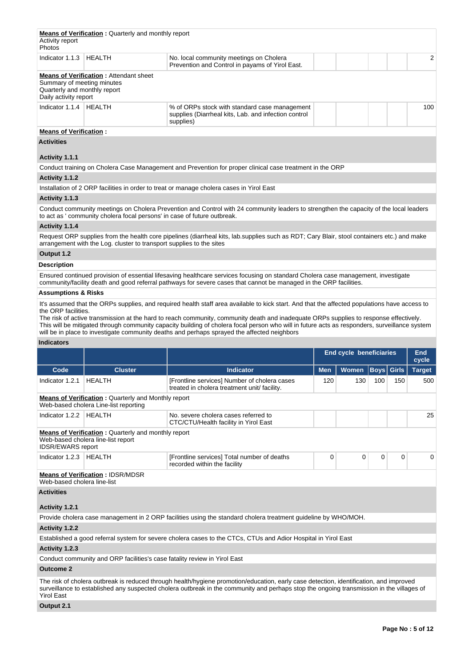| Activity report<br><b>Photos</b>                                                    | <b>Means of Verification:</b> Quarterly and monthly report |                                                                                                                    |     |
|-------------------------------------------------------------------------------------|------------------------------------------------------------|--------------------------------------------------------------------------------------------------------------------|-----|
| Indicator 1.1.3                                                                     | HEALTH                                                     | No. local community meetings on Cholera<br>Prevention and Control in payams of Yirol East.                         | 2   |
| Summary of meeting minutes<br>Quarterly and monthly report<br>Daily activity report | <b>Means of Verification: Attendant sheet</b>              |                                                                                                                    |     |
| Indicator 1.1.4                                                                     | HEALTH                                                     | % of ORPs stock with standard case management<br>supplies (Diarrheal kits, Lab. and infection control<br>supplies) | 100 |
| <b>Means of Verification:</b>                                                       |                                                            |                                                                                                                    |     |
| <b>Activities</b>                                                                   |                                                            |                                                                                                                    |     |
| Activity 1.1.1                                                                      |                                                            |                                                                                                                    |     |
|                                                                                     |                                                            | Conduct training on Cholera Case Management and Prevention for proper clinical case treatment in the ORP           |     |
| Activity 1.1.2                                                                      |                                                            |                                                                                                                    |     |

Installation of 2 ORP facilities in order to treat or manage cholera cases in Yirol East

## **Activity 1.1.3**

Conduct community meetings on Cholera Prevention and Control with 24 community leaders to strengthen the capacity of the local leaders to act as ' community cholera focal persons' in case of future outbreak.

## **Activity 1.1.4**

Request ORP supplies from the health core pipelines (diarrheal kits, lab.supplies such as RDT; Cary Blair, stool containers etc.) and make arrangement with the Log. cluster to transport supplies to the sites

# **Output 1.2**

## **Description**

Ensured continued provision of essential lifesaving healthcare services focusing on standard Cholera case management, investigate community/facility death and good referral pathways for severe cases that cannot be managed in the ORP facilities.

## **Assumptions & Risks**

It's assumed that the ORPs supplies, and required health staff area available to kick start. And that the affected populations have access to the ORP facilities.

The risk of active transmission at the hard to reach community, community death and inadequate ORPs supplies to response effectively. This will be mitigated through community capacity building of cholera focal person who will in future acts as responders, surveillance system will be in place to investigate community deaths and perhaps sprayed the affected neighbors

## **Indicators**

|                             |                                                                                                     |                                                                                                                                                                                                                                                                                    | <b>End cycle beneficiaries</b> |              | End<br>cycle      |          |               |
|-----------------------------|-----------------------------------------------------------------------------------------------------|------------------------------------------------------------------------------------------------------------------------------------------------------------------------------------------------------------------------------------------------------------------------------------|--------------------------------|--------------|-------------------|----------|---------------|
| Code                        | <b>Cluster</b>                                                                                      | <b>Indicator</b>                                                                                                                                                                                                                                                                   | <b>Men</b>                     | <b>Women</b> | <b>Boys</b> Girls |          | <b>Target</b> |
| Indicator 1.2.1             | <b>HEALTH</b>                                                                                       | [Frontline services] Number of cholera cases<br>treated in cholera treatment unit/ facility.                                                                                                                                                                                       | 120                            | 130          | 100               | 150      | 500           |
|                             | <b>Means of Verification: Quarterly and Monthly report</b><br>Web-based cholera Line-list reporting |                                                                                                                                                                                                                                                                                    |                                |              |                   |          |               |
| Indicator 1.2.2             | <b>HEALTH</b>                                                                                       | No. severe cholera cases referred to<br>CTC/CTU/Health facility in Yirol East                                                                                                                                                                                                      |                                |              |                   |          | 25            |
| <b>IDSR/EWARS</b> report    | <b>Means of Verification:</b> Quarterly and monthly report<br>Web-based cholera line-list report    |                                                                                                                                                                                                                                                                                    |                                |              |                   |          |               |
| Indicator 1.2.3             | <b>HEALTH</b>                                                                                       | [Frontline services] Total number of deaths<br>recorded within the facility                                                                                                                                                                                                        | 0                              | 0            | $\mathbf 0$       | $\Omega$ | $\Omega$      |
| Web-based cholera line-list | <b>Means of Verification: IDSR/MDSR</b>                                                             |                                                                                                                                                                                                                                                                                    |                                |              |                   |          |               |
| <b>Activities</b>           |                                                                                                     |                                                                                                                                                                                                                                                                                    |                                |              |                   |          |               |
| Activity 1.2.1              |                                                                                                     |                                                                                                                                                                                                                                                                                    |                                |              |                   |          |               |
|                             |                                                                                                     | Provide cholera case management in 2 ORP facilities using the standard cholera treatment guideline by WHO/MOH.                                                                                                                                                                     |                                |              |                   |          |               |
| Activity 1.2.2              |                                                                                                     |                                                                                                                                                                                                                                                                                    |                                |              |                   |          |               |
|                             |                                                                                                     | Established a good referral system for severe cholera cases to the CTCs, CTUs and Adior Hospital in Yirol East                                                                                                                                                                     |                                |              |                   |          |               |
| Activity 1.2.3              |                                                                                                     |                                                                                                                                                                                                                                                                                    |                                |              |                   |          |               |
|                             | Conduct community and ORP facilities's case fatality review in Yirol East                           |                                                                                                                                                                                                                                                                                    |                                |              |                   |          |               |
| <b>Outcome 2</b>            |                                                                                                     |                                                                                                                                                                                                                                                                                    |                                |              |                   |          |               |
| <b>Yirol East</b>           |                                                                                                     | The risk of cholera outbreak is reduced through health/hygiene promotion/education, early case detection, identification, and improved<br>surveillance to established any suspected cholera outbreak in the community and perhaps stop the ongoing transmission in the villages of |                                |              |                   |          |               |

**Output 2.1**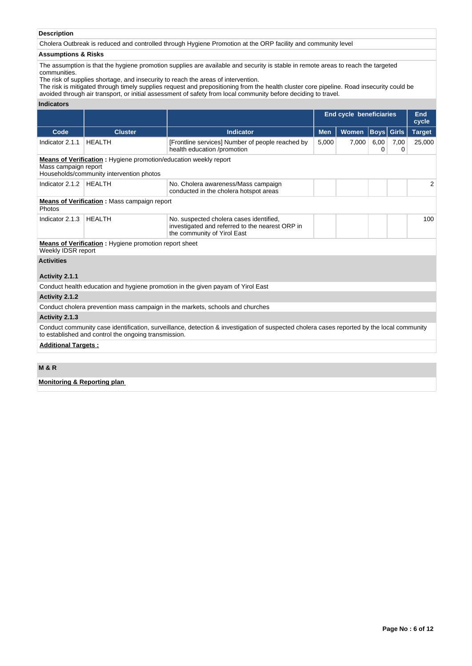## **Description**

Cholera Outbreak is reduced and controlled through Hygiene Promotion at the ORP facility and community level

## **Assumptions & Risks**

The assumption is that the hygiene promotion supplies are available and security is stable in remote areas to reach the targeted communities.

The risk of supplies shortage, and insecurity to reach the areas of intervention.

The risk is mitigated through timely supplies request and prepositioning from the health cluster core pipeline. Road insecurity could be avoided through air transport, or initial assessment of safety from local community before deciding to travel.

## **Indicators**

|                            |                                                                                                                     |                                                                                                                                           |            | <b>End cycle beneficiaries</b> |           | <b>End</b>        |               |
|----------------------------|---------------------------------------------------------------------------------------------------------------------|-------------------------------------------------------------------------------------------------------------------------------------------|------------|--------------------------------|-----------|-------------------|---------------|
| Code                       | <b>Cluster</b>                                                                                                      | <b>Indicator</b>                                                                                                                          | <b>Men</b> |                                |           |                   | cycle         |
|                            |                                                                                                                     |                                                                                                                                           |            | Women                          | 6,00      | <b>Boys</b> Girls | <b>Target</b> |
| Indicator 2.1.1            | <b>HEALTH</b>                                                                                                       | [Frontline services] Number of people reached by<br>health education /promotion                                                           | 5,000      | 7,000                          | 7,00<br>0 | 25,000            |               |
| Mass campaign report       | <b>Means of Verification:</b> Hygiene promotion/education weekly report<br>Households/community intervention photos |                                                                                                                                           |            |                                |           |                   |               |
| Indicator 2.1.2            | <b>HEALTH</b>                                                                                                       | No. Cholera awareness/Mass campaign<br>conducted in the cholera hotspot areas                                                             |            |                                |           |                   | 2             |
| Photos                     | <b>Means of Verification:</b> Mass campaign report                                                                  |                                                                                                                                           |            |                                |           |                   |               |
| Indicator 2.1.3            | <b>HEALTH</b>                                                                                                       | No. suspected cholera cases identified,<br>investigated and referred to the nearest ORP in<br>the community of Yirol East                 |            |                                |           |                   | 100           |
| Weekly IDSR report         | <b>Means of Verification</b> : Hygiene promotion report sheet                                                       |                                                                                                                                           |            |                                |           |                   |               |
| <b>Activities</b>          |                                                                                                                     |                                                                                                                                           |            |                                |           |                   |               |
| Activity 2.1.1             |                                                                                                                     |                                                                                                                                           |            |                                |           |                   |               |
|                            |                                                                                                                     | Conduct health education and hygiene promotion in the given payam of Yirol East                                                           |            |                                |           |                   |               |
| Activity 2.1.2             |                                                                                                                     |                                                                                                                                           |            |                                |           |                   |               |
|                            |                                                                                                                     | Conduct cholera prevention mass campaign in the markets, schools and churches                                                             |            |                                |           |                   |               |
| Activity 2.1.3             |                                                                                                                     |                                                                                                                                           |            |                                |           |                   |               |
|                            | to established and control the ongoing transmission.                                                                | Conduct community case identification, surveillance, detection & investigation of suspected cholera cases reported by the local community |            |                                |           |                   |               |
| <b>Additional Targets:</b> |                                                                                                                     |                                                                                                                                           |            |                                |           |                   |               |
|                            |                                                                                                                     |                                                                                                                                           |            |                                |           |                   |               |
| <b>MOD</b>                 |                                                                                                                     |                                                                                                                                           |            |                                |           |                   |               |

## **M & R**

## **Monitoring & Reporting plan**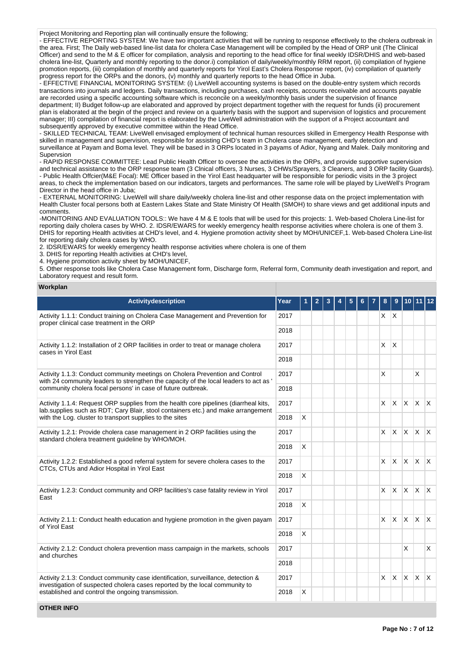Project Monitoring and Reporting plan will continually ensure the following;

- EFFECTIVE REPORTING SYSTEM: We have two important activities that will be running to response effectively to the cholera outbreak in the area. First; The Daily web-based line-list data for cholera Case Management will be compiled by the Head of ORP unit (The Clinical Officer) and send to the M & E officer for compilation, analysis and reporting to the head office for final weekly IDSR/DHIS and web-based cholera line-list, Quarterly and monthly reporting to the donor.i) compilation of daily/weekly/monthly RRM report, (ii) compilation of hygiene promotion reports, (iii) compilation of monthly and quarterly reports for Yirol East's Cholera Response report, (iv) compilation of quarterly progress report for the ORPs and the donors, (v) monthly and quarterly reports to the head Office in Juba.

- EFFECTIVE FINANCIAL MONITORING SYSTEM: (i) LiveWell accounting systems is based on the double-entry system which records transactions into journals and ledgers. Daily transactions, including purchases, cash receipts, accounts receivable and accounts payable are recorded using a specific accounting software which is reconcile on a weekly/monthly basis under the supervision of finance department; II) Budget follow-up are elaborated and approved by project department together with the request for funds (ii) procurement plan is elaborated at the begin of the project and review on a quarterly basis with the support and supervision of logistics and procurement manager; III) compilation of financial report is elaborated by the LiveWell administration with the support of a Project accountant and subsequently approved by executive committee within the Head Office.

- SKILLED TECHNICAL TEAM: LiveWell envisaged employment of technical human resources skilled in Emergency Health Response with skilled in management and supervision, responsible for assisting CHD's team in Cholera case management, early detection and surveillance at Payam and Boma level. They will be based in 3 ORPs located in 3 payams of Adior, Nyang and Malek. Daily monitoring and Supervsion

- RAPID RESPONSE COMMITTEE: Lead Public Health Officer to oversee the activities in the ORPs, and provide supportive supervision and technical assistance to the ORP response team (3 Clnical officers, 3 Nurses, 3 CHWs/Sprayers, 3 Cleaners, and 3 ORP facility Guards). - Public Health Offcier(M&E Focal): ME Officer based in the Yirol East headquarter will be responsible for periodic visits in the 3 project areas, to check the implementation based on our indicators, targets and performances. The same role will be played by LiveWell's Program Director in the head office in Juba;

- EXTERNAL MONITORING: LiveWell will share daily/weekly cholera line-list and other response data on the project implementation with Health Cluster focal persons both at Eastern Lakes State and State Ministry Of Health (SMOH) to share views and get additional inputs and comments.

-MONITORING AND EVALUATION TOOLS:: We have 4 M & E tools that will be used for this projects: 1. Web-based Cholera Line-list for reporting daily cholera cases by WHO. 2. IDSR/EWARS for weekly emergency health response activities where cholera is one of them 3. DHIS for reporting Health activities at CHD's level, and 4. Hygiene promotion activity sheet by MOH/UNICEF,1. Web-based Cholera Line-list for reporting daily cholera cases by WHO.

2. IDSR/EWARS for weekly emergency health response activities where cholera is one of them

3. DHIS for reporting Health activities at CHD's level,

4. Hygiene promotion activity sheet by MOH/UNICEF

5. Other response tools like Cholera Case Management form, Discharge form, Referral form, Community death investigation and report, and Laboratory request and result form.

#### **Workplan**

| <b>Activitydescription</b>                                                                                                                                                | Year |   | 2 |  |  |                         |              |              |              |              |
|---------------------------------------------------------------------------------------------------------------------------------------------------------------------------|------|---|---|--|--|-------------------------|--------------|--------------|--------------|--------------|
| Activity 1.1.1: Conduct training on Cholera Case Management and Prevention for<br>2017<br>proper clinical case treatment in the ORP                                       |      |   |   |  |  | $X$ $X$                 |              |              |              |              |
|                                                                                                                                                                           | 2018 |   |   |  |  |                         |              |              |              |              |
| Activity 1.1.2: Installation of 2 ORP facilities in order to treat or manage cholera<br>cases in Yirol East                                                               | 2017 |   |   |  |  | X                       | X            |              |              |              |
|                                                                                                                                                                           | 2018 |   |   |  |  |                         |              |              |              |              |
| Activity 1.1.3: Conduct community meetings on Cholera Prevention and Control<br>with 24 community leaders to strengthen the capacity of the local leaders to act as '     | 2017 |   |   |  |  | $\overline{\mathsf{x}}$ |              |              | X            |              |
| community cholera focal persons' in case of future outbreak.                                                                                                              | 2018 |   |   |  |  |                         |              |              |              |              |
| Activity 1.1.4: Request ORP supplies from the health core pipelines (diarrheal kits,<br>lab.supplies such as RDT; Cary Blair, stool containers etc.) and make arrangement | 2017 |   |   |  |  | X                       | $\mathsf{X}$ | $\mathsf{X}$ | $\mathsf{X}$ | $\mathsf{X}$ |
| with the Log. cluster to transport supplies to the sites                                                                                                                  | 2018 | X |   |  |  |                         |              |              |              |              |
| Activity 1.2.1: Provide cholera case management in 2 ORP facilities using the<br>standard cholera treatment guideline by WHO/MOH.                                         | 2017 |   |   |  |  | X                       | <b>X</b>     | $\times$     | $\mathsf{X}$ | $\mathsf{X}$ |
|                                                                                                                                                                           | 2018 | X |   |  |  |                         |              |              |              |              |
| Activity 1.2.2: Established a good referral system for severe cholera cases to the<br>CTCs, CTUs and Adior Hospital in Yirol East                                         |      |   |   |  |  | X                       | $\mathsf{X}$ | $\times$     | $\mathsf{X}$ | $\mathsf{X}$ |
|                                                                                                                                                                           | 2018 | X |   |  |  |                         |              |              |              |              |
| Activity 1.2.3: Conduct community and ORP facilities's case fatality review in Yirol<br>East                                                                              | 2017 |   |   |  |  | X                       | ΙX.          | $\times$     | <b>X</b>     | $\mathsf{X}$ |
|                                                                                                                                                                           | 2018 | X |   |  |  |                         |              |              |              |              |
| Activity 2.1.1: Conduct health education and hygiene promotion in the given payam<br>of Yirol East                                                                        | 2017 |   |   |  |  | X                       | $\mathsf{X}$ | $\times$     | <b>X</b>     | $\mathsf{X}$ |
|                                                                                                                                                                           | 2018 | X |   |  |  |                         |              |              |              |              |
| Activity 2.1.2: Conduct cholera prevention mass campaign in the markets, schools<br>and churches                                                                          | 2017 |   |   |  |  |                         |              | X            |              | X            |
|                                                                                                                                                                           |      |   |   |  |  |                         |              |              |              |              |
| Activity 2.1.3: Conduct community case identification, surveillance, detection &<br>investigation of suspected cholera cases reported by the local community to           | 2017 |   |   |  |  | X                       | X            | $\mathsf{X}$ | <b>X</b>     | $\mathsf{X}$ |
| established and control the ongoing transmission.                                                                                                                         | 2018 | X |   |  |  |                         |              |              |              |              |

**OTHER INFO**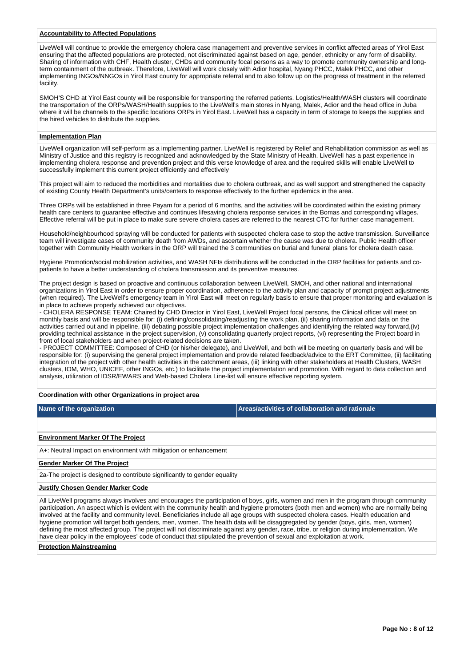## **Accountability to Affected Populations**

LiveWell will continue to provide the emergency cholera case management and preventive services in conflict affected areas of Yirol East ensuring that the affected populations are protected, not discriminated against based on age, gender, ethnicity or any form of disability. Sharing of information with CHF, Health cluster, CHDs and community focal persons as a way to promote community ownership and longterm containment of the outbreak. Therefore, LiveWell will work closely with Adior hospital, Nyang PHCC, Malek PHCC, and other implementing INGOs/NNGOs in Yirol East county for appropriate referral and to also follow up on the progress of treatment in the referred facility.

SMOH'S CHD at Yirol East county will be responsible for transporting the referred patients. Logistics/Health/WASH clusters will coordinate the transportation of the ORPs/WASH/Health supplies to the LiveWell's main stores in Nyang, Malek, Adior and the head office in Juba where it will be channels to the specific locations ORPs in Yirol East. LiveWell has a capacity in term of storage to keeps the supplies and the hired vehicles to distribute the supplies.

#### **Implementation Plan**

LiveWell organization will self-perform as a implementing partner. LiveWell is registered by Relief and Rehabilitation commission as well as Ministry of Justice and this registry is recognized and acknowledged by the State Ministry of Health. LiveWell has a past experience in implementing cholera response and prevention project and this verse knowledge of area and the required skills will enable LiveWell to successfully implement this current project efficiently and effectively

This project will aim to reduced the morbidities and mortalities due to cholera outbreak, and as well support and strengthened the capacity of existing County Health Department's units/centers to response effectively to the further epidemics in the area.

Three ORPs will be established in three Payam for a period of 6 months, and the activities will be coordinated within the existing primary health care centers to guarantee effective and continues lifesaving cholera response services in the Bomas and corresponding villages. Effective referral will be put in place to make sure severe cholera cases are referred to the nearest CTC for further case management.

Household/neighbourhood spraying will be conducted for patients with suspected cholera case to stop the active transmission. Surveillance team will investigate cases of community death from AWDs, and ascertain whether the cause was due to cholera. Public Health officer together with Community Health workers in the ORP will trained the 3 communities on burial and funeral plans for cholera death case.

Hygiene Promotion/social mobilization activities, and WASH NFIs distributions will be conducted in the ORP facilities for patients and copatients to have a better understanding of cholera transmission and its preventive measures.

The project design is based on proactive and continuous collaboration between LiveWell, SMOH, and other national and international organizations in Yirol East in order to ensure proper coordination, adherence to the activity plan and capacity of prompt project adjustments (when required). The LiveWell's emergency team in Yirol East will meet on regularly basis to ensure that proper monitoring and evaluation is in place to achieve properly achieved our objectives.

- CHOLERA RESPONSE TEAM: Chaired by CHD Director in Yirol East, LiveWell Project focal persons, the Clinical officer will meet on monthly basis and will be responsible for: (i) defining/consolidating/readjusting the work plan, (ii) sharing information and data on the activities carried out and in pipeline, (iii) debating possible project implementation challenges and identifying the related way forward,(iv) providing technical assistance in the project supervision, (v) consolidating quarterly project reports, (vi) representing the Project board in front of local stakeholders and when project-related decisions are taken.

- PROJECT COMMITTEE: Composed of CHD (or his/her delegate), and LiveWell, and both will be meeting on quarterly basis and will be responsible for: (i) supervising the general project implementation and provide related feedback/advice to the ERT Committee, (ii) facilitating integration of the project with other health activities in the catchment areas, (iii) linking with other stakeholders at Health Clusters, WASH clusters, IOM, WHO, UNICEF, other INGOs, etc.) to facilitate the project implementation and promotion. With regard to data collection and analysis, utilization of IDSR/EWARS and Web-based Cholera Line-list will ensure effective reporting system.

## **Coordination with other Organizations in project area**

**Name of the organization Areas/activities of collaboration and rationale** 

## **Environment Marker Of The Project**

A+: Neutral Impact on environment with mitigation or enhancement

#### **Gender Marker Of The Project**

2a-The project is designed to contribute significantly to gender equality

#### **Justify Chosen Gender Marker Code**

All LiveWell programs always involves and encourages the participation of boys, girls, women and men in the program through community participation. An aspect which is evident with the community health and hygiene promoters (both men and women) who are normally being involved at the facility and community level. Beneficiaries include all age groups with suspected cholera cases. Health education and hygiene promotion will target both genders, men, women. The health data will be disaggregated by gender (boys, girls, men, women) defining the most affected group. The project will not discriminate against any gender, race, tribe, or religion during implementation. We have clear policy in the employees' code of conduct that stipulated the prevention of sexual and exploitation at work.

#### **Protection Mainstreaming**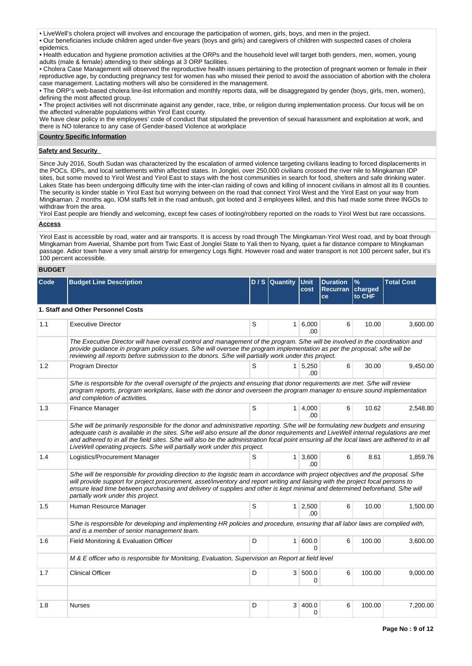• LiveWell's cholera project will involves and encourage the participation of women, girls, boys, and men in the project.

• Our beneficiaries include children aged under-five years (boys and girls) and caregivers of children with suspected cases of cholera epidemics.

• Health education and hygiene promotion activities at the ORPs and the household level will target both genders, men, women, young adults (male & female) attending to their siblings at 3 ORP facilities.

• Cholera Case Management will observed the reproductive health issues pertaining to the protection of pregnant women or female in their reproductive age, by conducting pregnancy test for women has who missed their period to avoid the association of abortion with the cholera case management. Lactating mothers will also be considered in the management.

• The ORP's web-based cholera line-list information and monthly reports data, will be disaggregated by gender (boys, girls, men, women), defining the most affected group.

• The project activities will not discriminate against any gender, race, tribe, or religion during implementation process. Our focus will be on the affected vulnerable populations within Yirol East county.

We have clear policy in the employees' code of conduct that stipulated the prevention of sexual harassment and exploitation at work, and there is NO tolerance to any case of Gender-based Violence at workplace

## **Country Specific Information**

## **Safety and Security**

Since July 2016, South Sudan was characterized by the escalation of armed violence targeting civilians leading to forced displacements in the POCs, IDPs, and local settlements within affected states. In Jonglei, over 250,000 civilians crossed the river nile to Mingkaman IDP sites, but some moved to Yirol West and Yirol East to stays with the host communities in search for food, shelters and safe drinking water. Lakes State has been undergoing difficulty time with the inter-clan raiding of cows and killing of innocent civilians in almost all its 8 counties. The security is kinder stable in Yirol East but worrying between on the road that connect Yirol West and the Yirol East on your way from Mingkaman. 2 months ago, IOM staffs felt in the road ambush, got looted and 3 employees killed, and this had made some three INGOs to withdraw from the area.

Yirol East people are friendly and welcoming, except few cases of looting/robbery reported on the roads to Yirol West but rare occassions.

# **Access**

Yirol East is accessible by road, water and air transports. It is access by road through The Mingkaman-Yirol West road, and by boat through Mingkaman from Awerial, Shambe port from Twic East of Jonglei State to Yali then to Nyang, quiet a far distance compare to Mingkaman passage. Adior town have a very small airstrip for emergency Logs flight. However road and water transport is not 100 percent safer, but it's 100 percent accessible.

## **BUDGET**

| Code | <b>Budget Line Description</b>                                                                                                                                                                                                                                                                                                                                                                                                                                                                    |   | D / S Quantity Unit | cost                         | <b>Duration</b><br>Recurran charged<br>ce | $\frac{9}{6}$<br>to CHF | <b>Total Cost</b> |
|------|---------------------------------------------------------------------------------------------------------------------------------------------------------------------------------------------------------------------------------------------------------------------------------------------------------------------------------------------------------------------------------------------------------------------------------------------------------------------------------------------------|---|---------------------|------------------------------|-------------------------------------------|-------------------------|-------------------|
|      | 1. Staff and Other Personnel Costs                                                                                                                                                                                                                                                                                                                                                                                                                                                                |   |                     |                              |                                           |                         |                   |
| 1.1  | <b>Executive Director</b>                                                                                                                                                                                                                                                                                                                                                                                                                                                                         | S |                     | 1 6,000<br>.00               | 6                                         | 10.00                   | 3,600.00          |
|      | The Executive Director will have overall control and management of the program. S/he will be involved in the coordination and<br>provide guidance in program policy issues. S/he will oversee the program implementation as per the proposal; s/he will be<br>reviewing all reports before submission to the donors. S/he will partially work under this project.                                                                                                                                 |   |                     |                              |                                           |                         |                   |
| 1.2  | Program Director                                                                                                                                                                                                                                                                                                                                                                                                                                                                                  | S |                     | $1 \overline{)5,250}$<br>.00 | 6                                         | 30.00                   | 9.450.00          |
|      | S/he is responsible for the overall oversight of the projects and ensuring that donor requirements are met. S/he will review<br>program reports, program workplans, liaise with the donor and overseen the program manager to ensure sound implementation<br>and completion of activities.                                                                                                                                                                                                        |   |                     |                              |                                           |                         |                   |
| 1.3  | Finance Manager                                                                                                                                                                                                                                                                                                                                                                                                                                                                                   | S |                     | $1 \mid 4,000$<br>.00        | 6                                         | 10.62                   | 2,548.80          |
|      | S/he will be primarily responsible for the donor and administrative reporting. S/he will be formulating new budgets and ensuring<br>adequate cash is available in the sites. S/he will also ensure all the donor requirements and LiveWell internal requlations are met<br>and adhered to in all the field sites. S/he will also be the administration focal point ensuring all the local laws are adhered to in all<br>LiveWell operating projects. S/he will partially work under this project. |   |                     |                              |                                           |                         |                   |
| 1.4  | Logistics/Procurement Manager                                                                                                                                                                                                                                                                                                                                                                                                                                                                     | S |                     | $1 \mid 3,600$<br>.00        | 6                                         | 8.61                    | 1,859.76          |
|      | S/he will be responsible for providing direction to the logistic team in accordance with project objectives and the proposal. S/he<br>will provide support for project procurement, asset/inventory and report writing and liaising with the project focal persons to<br>ensure lead time between purchasing and delivery of supplies and other is kept minimal and determined beforehand. S/he will<br>partially work under this project.                                                        |   |                     |                              |                                           |                         |                   |
| 1.5  | Human Resource Manager                                                                                                                                                                                                                                                                                                                                                                                                                                                                            | S |                     | $1 \mid 2,500$<br>.00        | 6                                         | 10.00                   | 1,500.00          |
|      | S/he is responsible for developing and implementing HR policies and procedure, ensuring that all labor laws are complied with,<br>and is a member of senior management team.                                                                                                                                                                                                                                                                                                                      |   |                     |                              |                                           |                         |                   |
| 1.6  | Field Monitoring & Evaluation Officer                                                                                                                                                                                                                                                                                                                                                                                                                                                             | D |                     | 1 600.0<br>$\Omega$          | 6                                         | 100.00                  | 3,600.00          |
|      | M & E officer who is responsible for Monitoing, Evaluation, Supervision an Report at field level                                                                                                                                                                                                                                                                                                                                                                                                  |   |                     |                              |                                           |                         |                   |
| 1.7  | <b>Clinical Officer</b>                                                                                                                                                                                                                                                                                                                                                                                                                                                                           | D |                     | 3 500.0<br>$\Omega$          | 6                                         | 100.00                  | 9,000.00          |
|      |                                                                                                                                                                                                                                                                                                                                                                                                                                                                                                   |   |                     |                              |                                           |                         |                   |
| 1.8  | <b>Nurses</b>                                                                                                                                                                                                                                                                                                                                                                                                                                                                                     | D | 3                   | 400.0<br>0                   | 6                                         | 100.00                  | 7,200.00          |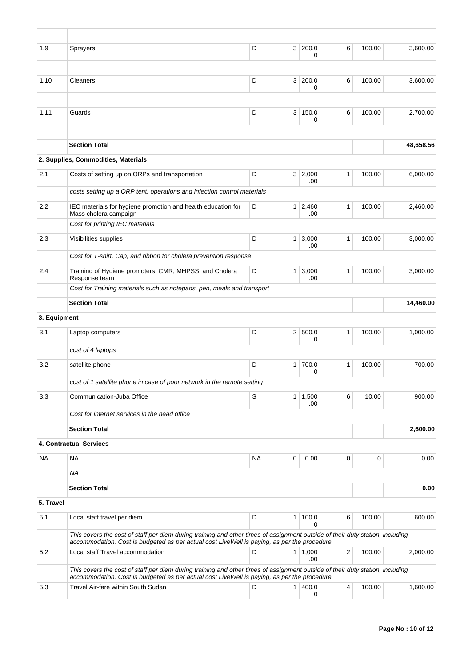| 1.9          | Sprayers                                                                                                                                                                                                                     | D         | 3 <sup>1</sup> | 200.0<br>0             | 6            | 100.00      | 3,600.00  |  |  |
|--------------|------------------------------------------------------------------------------------------------------------------------------------------------------------------------------------------------------------------------------|-----------|----------------|------------------------|--------------|-------------|-----------|--|--|
|              |                                                                                                                                                                                                                              |           |                |                        |              |             |           |  |  |
| 1.10         | Cleaners                                                                                                                                                                                                                     | D         | 3 <sup>1</sup> | 200.0<br>0             | 6            | 100.00      | 3.600.00  |  |  |
|              |                                                                                                                                                                                                                              |           |                |                        |              |             |           |  |  |
| 1.11         | Guards                                                                                                                                                                                                                       | D         | 3 <sup>1</sup> | 150.0<br>0             | 6            | 100.00      | 2,700.00  |  |  |
|              |                                                                                                                                                                                                                              |           |                |                        |              |             |           |  |  |
|              | <b>Section Total</b>                                                                                                                                                                                                         |           |                |                        |              |             | 48,658.56 |  |  |
|              | 2. Supplies, Commodities, Materials                                                                                                                                                                                          |           |                |                        |              |             |           |  |  |
| 2.1          | Costs of setting up on ORPs and transportation                                                                                                                                                                               | D         |                | 3 2,000<br>.00         | $\mathbf{1}$ | 100.00      | 6,000.00  |  |  |
|              | costs setting up a ORP tent, operations and infection control materials                                                                                                                                                      |           |                |                        |              |             |           |  |  |
| 2.2          | IEC materials for hygiene promotion and health education for<br>Mass cholera campaign                                                                                                                                        | D         |                | $1 \quad 2,460$<br>.00 | 1            | 100.00      | 2,460.00  |  |  |
|              | Cost for printing IEC materials                                                                                                                                                                                              |           |                |                        |              |             |           |  |  |
| 2.3          | Visibilities supplies                                                                                                                                                                                                        | D         | 1 <sup>1</sup> | 3,000<br>.00           | $\mathbf{1}$ | 100.00      | 3,000.00  |  |  |
|              | Cost for T-shirt, Cap, and ribbon for cholera prevention response                                                                                                                                                            |           |                |                        |              |             |           |  |  |
| 2.4          | Training of Hygiene promoters, CMR, MHPSS, and Cholera<br>Response team                                                                                                                                                      | D         | $\mathbf{1}$   | 3,000<br>.00           | $\mathbf{1}$ | 100.00      | 3,000.00  |  |  |
|              | Cost for Training materials such as notepads, pen, meals and transport                                                                                                                                                       |           |                |                        |              |             |           |  |  |
|              | <b>Section Total</b>                                                                                                                                                                                                         |           |                |                        |              |             | 14,460.00 |  |  |
| 3. Equipment |                                                                                                                                                                                                                              |           |                |                        |              |             |           |  |  |
| 3.1          | Laptop computers                                                                                                                                                                                                             | D         | 2 <sup>2</sup> | 500.0<br>0             | 1            | 100.00      | 1,000.00  |  |  |
|              | cost of 4 laptops                                                                                                                                                                                                            |           |                |                        |              |             |           |  |  |
| 3.2          | satellite phone                                                                                                                                                                                                              | D         | 1 <sup>1</sup> | 700.0<br>0             | $\mathbf{1}$ | 100.00      | 700.00    |  |  |
|              | cost of 1 satellite phone in case of poor network in the remote setting                                                                                                                                                      |           |                |                        |              |             |           |  |  |
| 3.3          | Communication-Juba Office                                                                                                                                                                                                    | S         |                | $1 \mid 1,500$<br>.00  | 6            | 10.00       | 900.00    |  |  |
|              | Cost for internet services in the head office                                                                                                                                                                                |           |                |                        |              |             |           |  |  |
|              | <b>Section Total</b>                                                                                                                                                                                                         |           |                | 2,600.00               |              |             |           |  |  |
|              | 4. Contractual Services                                                                                                                                                                                                      |           |                |                        |              |             |           |  |  |
| NA.          | <b>NA</b>                                                                                                                                                                                                                    | <b>NA</b> | 0              | 0.00                   | 0            | $\mathbf 0$ | 0.00      |  |  |
|              | <b>NA</b>                                                                                                                                                                                                                    |           |                |                        |              |             |           |  |  |
|              | <b>Section Total</b>                                                                                                                                                                                                         |           |                |                        |              |             | 0.00      |  |  |
| 5. Travel    |                                                                                                                                                                                                                              |           |                |                        |              |             |           |  |  |
| 5.1          | Local staff travel per diem                                                                                                                                                                                                  | D         | $\mathbf{1}$   | 100.0<br>0             | 6            | 100.00      | 600.00    |  |  |
|              | This covers the cost of staff per diem during training and other times of assignment outside of their duty station, including<br>accommodation. Cost is budgeted as per actual cost LiveWell is paying, as per the procedure |           |                |                        |              |             |           |  |  |
| 5.2          | Local staff Travel accommodation                                                                                                                                                                                             | D         |                | $1 \mid 1,000$<br>.00  | 2            | 100.00      | 2,000.00  |  |  |
|              | This covers the cost of staff per diem during training and other times of assignment outside of their duty station, including                                                                                                |           |                |                        |              |             |           |  |  |
| 5.3          | accommodation. Cost is budgeted as per actual cost LiveWell is paying, as per the procedure<br>Travel Air-fare within South Sudan                                                                                            | D         |                | 1   400.0              | 4            | 100.00      | 1,600.00  |  |  |
|              |                                                                                                                                                                                                                              |           |                | 0                      |              |             |           |  |  |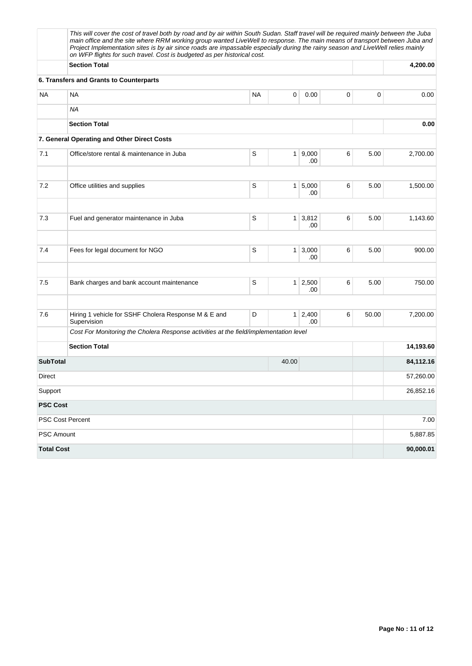|                   | This will cover the cost of travel both by road and by air within South Sudan. Staff travel will be required mainly between the Juba<br>main office and the site where RRM working group wanted LiveWell to response. The main means of transport between Juba and<br>Project Implementation sites is by air since roads are impassable especially during the rainy season and LiveWell relies mainly<br>on WFP flights for such travel. Cost is budgeted as per historical cost. |           |       |                       |   |       |           |  |  |  |
|-------------------|-----------------------------------------------------------------------------------------------------------------------------------------------------------------------------------------------------------------------------------------------------------------------------------------------------------------------------------------------------------------------------------------------------------------------------------------------------------------------------------|-----------|-------|-----------------------|---|-------|-----------|--|--|--|
|                   | <b>Section Total</b>                                                                                                                                                                                                                                                                                                                                                                                                                                                              |           |       |                       |   |       | 4,200.00  |  |  |  |
|                   | 6. Transfers and Grants to Counterparts                                                                                                                                                                                                                                                                                                                                                                                                                                           |           |       |                       |   |       |           |  |  |  |
| <b>NA</b>         | <b>NA</b>                                                                                                                                                                                                                                                                                                                                                                                                                                                                         | <b>NA</b> | 0     | 0.00                  | 0 | 0     | 0.00      |  |  |  |
|                   | <b>NA</b>                                                                                                                                                                                                                                                                                                                                                                                                                                                                         |           |       |                       |   |       |           |  |  |  |
|                   | <b>Section Total</b>                                                                                                                                                                                                                                                                                                                                                                                                                                                              |           |       | 0.00                  |   |       |           |  |  |  |
|                   | 7. General Operating and Other Direct Costs                                                                                                                                                                                                                                                                                                                                                                                                                                       |           |       |                       |   |       |           |  |  |  |
| 7.1               | Office/store rental & maintenance in Juba                                                                                                                                                                                                                                                                                                                                                                                                                                         | S         |       | 1   9,000<br>.00      | 6 | 5.00  | 2,700.00  |  |  |  |
| 7.2               | Office utilities and supplies                                                                                                                                                                                                                                                                                                                                                                                                                                                     | S         |       | 1 5,000<br>.00        | 6 | 5.00  | 1,500.00  |  |  |  |
| 7.3               | Fuel and generator maintenance in Juba                                                                                                                                                                                                                                                                                                                                                                                                                                            | S         |       | $1 \mid 3,812$<br>.00 | 6 | 5.00  | 1,143.60  |  |  |  |
| 7.4               | Fees for legal document for NGO                                                                                                                                                                                                                                                                                                                                                                                                                                                   | S         |       | $1 \mid 3,000$<br>.00 | 6 | 5.00  | 900.00    |  |  |  |
| 7.5               | Bank charges and bank account maintenance                                                                                                                                                                                                                                                                                                                                                                                                                                         | S         |       | $1 \mid 2,500$<br>.00 | 6 | 5.00  | 750.00    |  |  |  |
| 7.6               | Hiring 1 vehicle for SSHF Cholera Response M & E and<br>Supervision                                                                                                                                                                                                                                                                                                                                                                                                               | D         |       | $1 \mid 2,400$<br>.00 | 6 | 50.00 | 7,200.00  |  |  |  |
|                   | Cost For Monitoring the Cholera Response activities at the field/implementation level                                                                                                                                                                                                                                                                                                                                                                                             |           |       |                       |   |       |           |  |  |  |
|                   | <b>Section Total</b>                                                                                                                                                                                                                                                                                                                                                                                                                                                              |           |       |                       |   |       | 14,193.60 |  |  |  |
| <b>SubTotal</b>   |                                                                                                                                                                                                                                                                                                                                                                                                                                                                                   |           | 40.00 |                       |   |       | 84,112.16 |  |  |  |
| Direct            |                                                                                                                                                                                                                                                                                                                                                                                                                                                                                   |           |       |                       |   |       | 57,260.00 |  |  |  |
| Support           |                                                                                                                                                                                                                                                                                                                                                                                                                                                                                   |           |       |                       |   |       | 26,852.16 |  |  |  |
| <b>PSC Cost</b>   |                                                                                                                                                                                                                                                                                                                                                                                                                                                                                   |           |       |                       |   |       |           |  |  |  |
|                   | PSC Cost Percent                                                                                                                                                                                                                                                                                                                                                                                                                                                                  |           |       |                       |   |       | 7.00      |  |  |  |
| PSC Amount        |                                                                                                                                                                                                                                                                                                                                                                                                                                                                                   |           |       |                       |   |       | 5,887.85  |  |  |  |
| <b>Total Cost</b> |                                                                                                                                                                                                                                                                                                                                                                                                                                                                                   |           |       |                       |   |       | 90,000.01 |  |  |  |